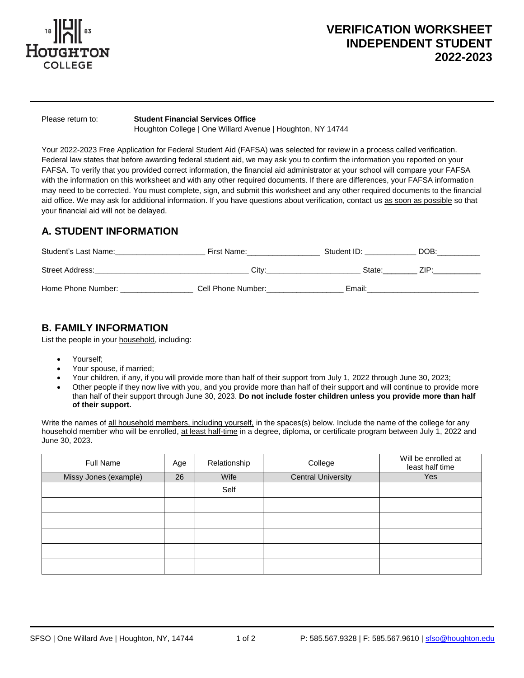

# **VERIFICATION WORKSHEET INDEPENDENT STUDENT 2022-2023**

 $\overline{a}$ 

Please return to: **Student Financial Services Office**

Houghton College | One Willard Avenue | Houghton, NY 14744

Your 2022-2023 Free Application for Federal Student Aid (FAFSA) was selected for review in a process called verification. Federal law states that before awarding federal student aid, we may ask you to confirm the information you reported on your FAFSA. To verify that you provided correct information, the financial aid administrator at your school will compare your FAFSA with the information on this worksheet and with any other required documents. If there are differences, your FAFSA information may need to be corrected. You must complete, sign, and submit this worksheet and any other required documents to the financial aid office. We may ask for additional information. If you have questions about verification, contact us as soon as possible so that your financial aid will not be delayed.

## **A. STUDENT INFORMATION**

| Student's Last Name: | First Name:        | Student ID: | DOB:  |
|----------------------|--------------------|-------------|-------|
| Street Address:      | Citv:              | State:      | 71 D. |
| Home Phone Number:   | Cell Phone Number: | Email:      |       |

## **B. FAMILY INFORMATION**

List the people in your household, including:

- Yourself;
- Your spouse, if married;
- Your children, if any, if you will provide more than half of their support from July 1, 2022 through June 30, 2023;
- Other people if they now live with you, and you provide more than half of their support and will continue to provide more than half of their support through June 30, 2023. **Do not include foster children unless you provide more than half of their support.**

Write the names of all household members, including yourself, in the spaces(s) below. Include the name of the college for any household member who will be enrolled, at least half-time in a degree, diploma, or certificate program between July 1, 2022 and June 30, 2023.

| Full Name             | Age | Relationship | College                   | Will be enrolled at<br>least half time |
|-----------------------|-----|--------------|---------------------------|----------------------------------------|
| Missy Jones (example) | 26  | Wife         | <b>Central University</b> | Yes                                    |
|                       |     | Self         |                           |                                        |
|                       |     |              |                           |                                        |
|                       |     |              |                           |                                        |
|                       |     |              |                           |                                        |
|                       |     |              |                           |                                        |
|                       |     |              |                           |                                        |

 $\overline{a}$